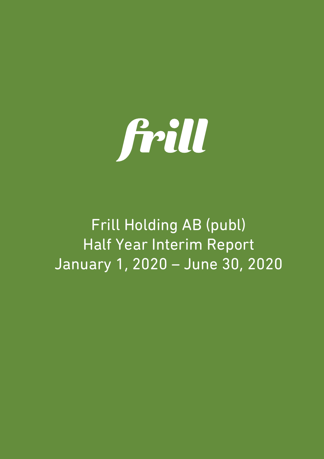

Frill Holding AB (publ) Half Year Interim Report January 1, 2020 – June 30, 2020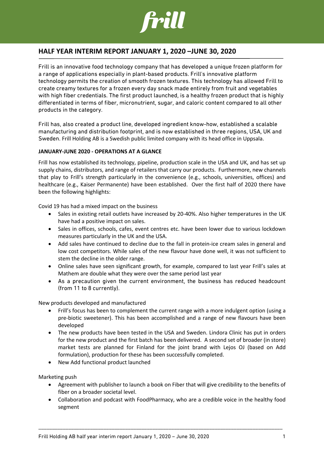

## **HALF YEAR INTERIM REPORT JANUARY 1, 2020 –JUNE 30, 2020**

Frill is an innovative food technology company that has developed a unique frozen platform for a range of applications especially in plant-based products. Frill's innovative platform technology permits the creation of smooth frozen textures. This technology has allowed Frill to create creamy textures for a frozen every day snack made entirely from fruit and vegetables with high fiber credentials. The first product launched, is a healthy frozen product that is highly differentiated in terms of fiber, micronutrient, sugar, and caloric content compared to all other products in the category.

Frill has, also created a product line, developed ingredient know-how, established a scalable manufacturing and distribution footprint, and is now established in three regions, USA, UK and Sweden. Frill Holding AB is a Swedish public limited company with its head office in Uppsala.

### **JANUARY-JUNE 2020 - OPERATIONS AT A GLANCE**

Frill has now established its technology, pipeline, production scale in the USA and UK, and has set up supply chains, distributors, and range of retailers that carry our products. Furthermore, new channels that play to Frill's strength particularly in the convenience (e.g., schools, universities, offices) and healthcare (e.g., Kaiser Permanente) have been established. Over the first half of 2020 there have been the following highlights:

Covid 19 has had a mixed impact on the business

- Sales in existing retail outlets have increased by 20-40%. Also higher temperatures in the UK have had a positive impact on sales.
- Sales in offices, schools, cafes, event centres etc. have been lower due to various lockdown measures particularly in the UK and the USA.
- Add sales have continued to decline due to the fall in protein-ice cream sales in general and low cost competitors. While sales of the new flavour have done well, it was not sufficient to stem the decline in the older range.
- Online sales have seen significant growth, for example, compared to last year Frill's sales at Mathem are double what they were over the same period last year
- As a precaution given the current environment, the business has reduced headcount (from 11 to 8 currently).

New products developed and manufactured

- Frill's focus has been to complement the current range with a more indulgent option (using a pre-biotic sweetener). This has been accomplished and a range of new flavours have been developed
- The new products have been tested in the USA and Sweden. Lindora Clinic has put in orders for the new product and the first batch has been delivered. A second set of broader (in store) market tests are planned for Finland for the joint brand with Lejos OJ (based on Add formulation), production for these has been successfully completed.
- New Add functional product launched

Marketing push

- Agreement with publisher to launch a book on Fiber that will give credibility to the benefits of fiber on a broader societal level.
- Collaboration and podcast with FoodPharmacy, who are a credible voice in the healthy food segment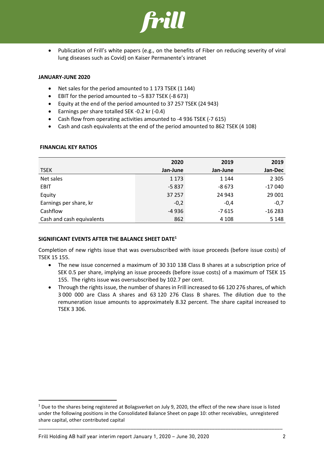

• Publication of Frill's white papers (e.g., on the benefits of Fiber on reducing severity of viral lung diseases such as Covid) on Kaiser Permanente's intranet

### **JANUARY-JUNE 2020**

- Net sales for the period amounted to 1 173 TSEK (1 144)
- EBIT for the period amounted to –5 837 TSEK (-8 673)
- Equity at the end of the period amounted to 37 257 TSEK (24 943)
- Earnings per share totalled SEK -0.2 kr (-0.4)
- Cash flow from operating activities amounted to -4 936 TSEK (-7 615)
- Cash and cash equivalents at the end of the period amounted to 862 TSEK (4 108)

|                           | 2020     | 2019     | 2019     |
|---------------------------|----------|----------|----------|
| <b>TSEK</b>               | Jan-June | Jan-June | Jan-Dec  |
| Net sales                 | 1 1 7 3  | 1 1 4 4  | 2 3 0 5  |
| <b>EBIT</b>               | $-5837$  | $-8673$  | $-17040$ |
| Equity                    | 37 257   | 24 943   | 29 001   |
| Earnings per share, kr    | $-0,2$   | $-0.4$   | $-0,7$   |
| Cashflow                  | $-4936$  | $-7615$  | $-16283$ |
| Cash and cash equivalents | 862      | 4 1 0 8  | 5 1 4 8  |

### **FINANCIAL KEY RATIOS**

### **SIGNIFICANT EVENTS AFTER THE BALANCE SHEET DATE1**

Completion of new rights issue that was oversubscribed with issue proceeds (before issue costs) of TSEK 15 155.

- The new issue concerned a maximum of 30 310 138 Class B shares at a subscription price of SEK 0.5 per share, implying an issue proceeds (before issue costs) of a maximum of TSEK 15 155. The rights issue was oversubscribed by 102.7 per cent.
- Through the rights issue, the number of shares in Frill increased to 66 120 276 shares, of which 3 000 000 are Class A shares and 63 120 276 Class B shares. The dilution due to the remuneration issue amounts to approximately 8.32 percent. The share capital increased to TSEK 3 306.

 $1$  Due to the shares being registered at Bolagsverket on July 9, 2020, the effect of the new share issue is listed under the following positions in the Consolidated Balance Sheet on page 10: other receivables, unregistered share capital, other contributed capital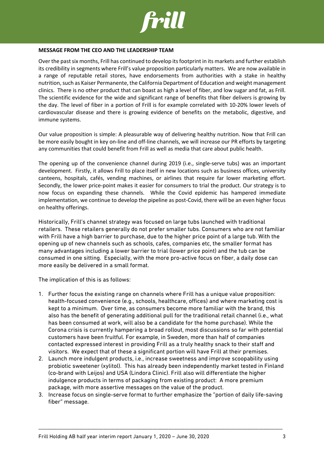

### **MESSAGE FROM THE CEO AND THE LEADERSHIP TEAM**

Over the past six months, Frill has continued to develop its footprint in its markets and further establish its credibility in segments where Frill's value proposition particularly matters. We are now available in a range of reputable retail stores, have endorsements from authorities with a stake in healthy nutrition, such as Kaiser Permanente, the California Department of Education and weight management clinics. There is no other product that can boast as high a level of fiber, and low sugar and fat, as Frill. The scientific evidence for the wide and significant range of benefits that fiber delivers is growing by the day. The level of fiber in a portion of Frill is for example correlated with 10-20% lower levels of cardiovascular disease and there is growing evidence of benefits on the metabolic, digestive, and immune systems.

Our value proposition is simple: A pleasurable way of delivering healthy nutrition. Now that Frill can be more easily bought in key on-line and off-line channels, we will increase our PR efforts by targeting any communities that could benefit from Frill as well as media that care about public health.

The opening up of the convenience channel during 2019 (i.e., single-serve tubs) was an important development. Firstly, it allows Frill to place itself in new locations such as business offices, university canteens, hospitals, cafés, vending machines, or airlines that require far lower marketing effort. Secondly, the lower price-point makes it easier for consumers to trial the product. Our strategy is to now focus on expanding these channels. While the Covid epidemic has hampered immediate implementation, we continue to develop the pipeline as post-Covid, there will be an even higher focus on healthy offerings.

Historically, Frill's channel strategy was focused on large tubs launched with traditional retailers. These retailers generally do not prefer smaller tubs. Consumers who are not familiar with Frill have a high barrier to purchase, due to the higher price point of a large tub. With the opening up of new channels such as schools, cafes, companies etc, the smaller format has many advantages including a lower barrier to trial (lower price point) and the tub can be consumed in one sitting. Especially, with the more pro-active focus on fiber, a daily dose can more easily be delivered in a small format.

The implication of this is as follows:

- 1. Further focus the existing range on channels where Frill has a unique value proposition: health-focused convenience (e.g., schools, healthcare, offices) and where marketing cost is kept to a minimum. Over time, as consumers become more familiar with the brand, this also has the benefit of generating additional pull for the traditional retail channel (i.e., what has been consumed at work, will also be a candidate for the home purchase). While the Corona crisis is currently hampering a broad rollout, most discussions so far with potential customers have been fruitful. For example, in Sweden, more than half of companies contacted expressed interest in providing Frill as a truly healthy snack to their staff and visitors. We expect that of these a significant portion will have Frill at their premises.
- 2. Launch more indulgent products, i.e., increase sweetness and improve scoopability using probiotic sweetener (xylitol). This has already been independently market tested in Finland (co-brand with Leijos) and USA (Lindora Clinic). Frill also will differentiate the higher indulgence products in terms of packaging from existing product: A more premium package, with more assertive messages on the value of the product.
- 3. Increase focus on single-serve format to further emphasize the "portion of daily life-saving fiber" message.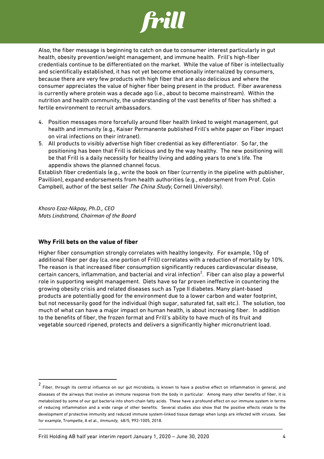

Also, the fiber message is beginning to catch on due to consumer interest particularly in gut health, obesity prevention/weight management, and immune health. Frill's high-fiber credentials continue to be differentiated on the market. While the value of fiber is intellectually and scientifically established, it has not yet become emotionally internalized by consumers, because there are very few products with high fiber that are also delicious and where the consumer appreciates the value of higher fiber being present in the product. Fiber awareness is currently where protein was a decade ago (i.e., about to become mainstream). Within the nutrition and health community, the understanding of the vast benefits of fiber has shifted: a fertile environment to recruit ambassadors.

- 4. Position messages more forcefully around fiber health linked to weight management, gut health and immunity (e.g., Kaiser Permanente published Frill's white paper on Fiber impact on viral infections on their intranet).
- 5. All products to visibly advertise high fiber credential as key differentiator. So far, the positioning has been that Frill is delicious and by the way healthy. The new positioning will be that Frill is a daily necessity for healthy living and adding years to one's life. The appendix shows the planned channel focus.

Establish fiber credentials (e.g., write the book on fiber (currently in the pipeline with publisher, Pavillion), expand endorsements from health authorities (e.g., endorsement from Prof. Colin Campbell, author of the best seller The China Study, Cornell University).

*Khosro Ezaz-Nikpay, Ph.D., CEO Mats Lindstrand, Chairman of the Board*

### **Why Frill bets on the value of fiber**

Higher fiber consumption strongly correlates with healthy longevity. For example, 10g of additional fiber per day (ca. one portion of Frill) correlates with a reduction of mortality by 10%. The reason is that increased fiber consumption significantly reduces cardiovascular disease, certain cancers, inflammation, and bacterial and viral infection $^2$ . Fiber can also play a powerful role in supporting weight management. Diets have so far proven ineffective in countering the growing obesity crisis and related diseases such as Type II diabetes. Many plant-based products are potentially good for the environment due to a lower carbon and water footprint, but not necessarily good for the individual (high sugar, saturated fat, salt etc.). The solution, too much of what can have a major impact on human health, is about increasing fiber. In addition to the benefits of fiber, the frozen format and Frill's ability to have much of its fruit and vegetable sourced ripened, protects and delivers a significantly higher micronutrient load.

<sup>2</sup> Fiber, through its central influence on our gut microbiota, is known to have a positive effect on inflammation in general, and diseases of the airways that involve an immune response from the body in particular. Among many other benefits of fiber, it is metabolized by some of our gut bacteria into short-chain fatty acids. These have a profound effect on our immune system in terms of reducing inflammation and a wide range of other benefits. Several studies also show that the positive effects relate to the development of protective immunity and reduced immune system-linked tissue damage when lungs are infected with viruses. See for example, Trompette, A et al., Immunity, 48/5, 992-1005, 2018.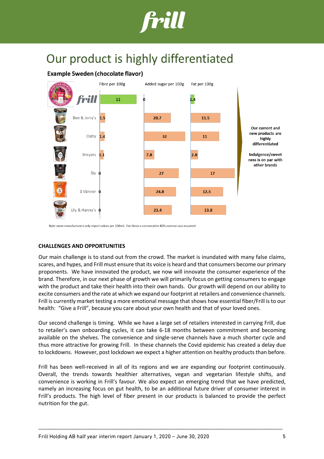

## Our product is highly differentiated

### **Example Sweden (chocolate flavor)**



Note some manufacturers only report values per 100 ml. For these a conservative 40% overrun was assumed

### **CHALLENGES AND OPPORTUNITIES**

Our main challenge is to stand out from the crowd. The market is inundated with many false claims, scares, and hypes, and Frill must ensure that its voice is heard and that consumers become our primary proponents. We have innovated the product, we now will innovate the consumer experience of the brand. Therefore, in our next phase of growth we will primarily focus on getting consumers to engage with the product and take their health into their own hands. Our growth will depend on our ability to excite consumers and the rate at which we expand our footprint at retailers and convenience channels. Frill is currently market testing a more emotional message that shows how essential fiber/Frill is to our health: "Give a Frill", because you care about your own health and that of your loved ones.

Our second challenge is timing. While we have a large set of retailers interested in carrying Frill, due to retailer's own onboarding cycles, it can take 6-18 months between commitment and becoming available on the shelves. The convenience and single-serve channels have a much shorter cycle and thus more attractive for growing Frill. In these channels the Covid epidemic has created a delay due to lockdowns. However, post lockdown we expect a higher attention on healthy products than before.

Frill has been well-received in all of its regions and we are expanding our footprint continuously. Overall, the trends towards healthier alternatives, vegan and vegetarian lifestyle shifts, and convenience is working in Frill's favour. We also expect an emerging trend that we have predicted, namely an increasing focus on gut health, to be an additional future driver of consumer interest in Frill's products. The high level of fiber present in our products is balanced to provide the perfect nutrition for the gut.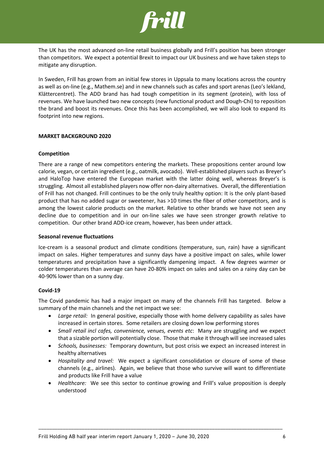

The UK has the most advanced on-line retail business globally and Frill's position has been stronger than competitors. We expect a potential Brexit to impact our UK business and we have taken steps to mitigate any disruption.

In Sweden, Frill has grown from an initial few stores in Uppsala to many locations across the country as well as on-line (e.g., Mathem.se) and in new channels such as cafes and sport arenas (Leo's lekland, Klättercentret). The ADD brand has had tough competition in its segment (protein), with loss of revenues. We have launched two new concepts (new functional product and Dough-Chi) to reposition the brand and boost its revenues. Once this has been accomplished, we will also look to expand its footprint into new regions.

### **MARKET BACKGROUND 2020**

### **Competition**

There are a range of new competitors entering the markets. These propositions center around low calorie, vegan, or certain ingredient (e.g., oatmilk, avocado). Well-established players such as Breyer's and HaloTop have entered the European market with the latter doing well, whereas Breyer's is struggling. Almost all established players now offer non-dairy alternatives. Overall, the differentiation of Frill has not changed. Frill continues to be the only truly healthy option: It is the only plant-based product that has no added sugar or sweetener, has >10 times the fiber of other competitors, and is among the lowest calorie products on the market. Relative to other brands we have not seen any decline due to competition and in our on-line sales we have seen stronger growth relative to competition. Our other brand ADD-ice cream, however, has been under attack.

### **Seasonal revenue fluctuations**

Ice-cream is a seasonal product and climate conditions (temperature, sun, rain) have a significant impact on sales. Higher temperatures and sunny days have a positive impact on sales, while lower temperatures and precipitation have a significantly dampening impact. A few degrees warmer or colder temperatures than average can have 20-80% impact on sales and sales on a rainy day can be 40-90% lower than on a sunny day.

### **Covid-19**

The Covid pandemic has had a major impact on many of the channels Frill has targeted. Below a summary of the main channels and the net impact we see:

- *Large retail:* In general positive, especially those with home delivery capability as sales have increased in certain stores. Some retailers are closing down low performing stores
- *Small retail incl cafes, convenience, venues, events etc*: Many are struggling and we expect that a sizable portion will potentially close. Those that make it through will see increased sales
- *Schools, businesses:* Temporary downturn, but post crisis we expect an increased interest in healthy alternatives
- *Hospitality and travel:* We expect a significant consolidation or closure of some of these channels (e.g., airlines). Again, we believe that those who survive will want to differentiate and products like Frill have a value
- *Healthcare:* We see this sector to continue growing and Frill's value proposition is deeply understood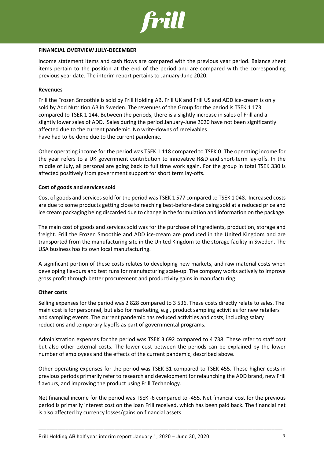

### **FINANCIAL OVERVIEW JULY-DECEMBER**

Income statement items and cash flows are compared with the previous year period. Balance sheet items pertain to the position at the end of the period and are compared with the corresponding previous year date. The interim report pertains to January-June 2020.

### **Revenues**

Frill the Frozen Smoothie is sold by Frill Holding AB, Frill UK and Frill US and ADD ice-cream is only sold by Add Nutrition AB in Sweden. The revenues of the Group for the period is TSEK 1 173 compared to TSEK 1 144. Between the periods, there is a slightly increase in sales of Frill and a slightly lower sales of ADD. Sales during the period January-June 2020 have not been significantly affected due to the current pandemic. No write-downs of receivables have had to be done due to the current pandemic.

Other operating income for the period was TSEK 1 118 compared to TSEK 0. The operating income for the year refers to a UK government contribution to innovative R&D and short-term lay-offs. In the middle of July, all personal are going back to full time work again. For the group in total TSEK 330 is affected positively from government support for short term lay-offs.

### **Cost of goods and services sold**

Cost of goods and services sold for the period was TSEK 1 577 compared to TSEK 1 048. Increased costs are due to some products getting close to reaching best-before-date being sold at a reduced price and ice cream packaging being discarded due to change in the formulation and information on the package.

The main cost of goods and services sold was for the purchase of ingredients, production, storage and freight. Frill the Frozen Smoothie and ADD ice-cream are produced in the United Kingdom and are transported from the manufacturing site in the United Kingdom to the storage facility in Sweden. The USA business has its own local manufacturing.

A significant portion of these costs relates to developing new markets, and raw material costs when developing flavours and test runs for manufacturing scale-up. The company works actively to improve gross profit through better procurement and productivity gains in manufacturing.

### **Other costs**

Selling expenses for the period was 2 828 compared to 3 536. These costs directly relate to sales. The main cost is for personnel, but also for marketing, e.g., product sampling activities for new retailers and sampling events. The current pandemic has reduced activities and costs, including salary reductions and temporary layoffs as part of governmental programs.

Administration expenses for the period was TSEK 3 692 compared to 4 738. These refer to staff cost but also other external costs. The lower cost between the periods can be explained by the lower number of employees and the effects of the current pandemic, described above.

Other operating expenses for the period was TSEK 31 compared to TSEK 455. These higher costs in previous periods primarily refer to research and development for relaunching the ADD brand, new Frill flavours, and improving the product using Frill Technology.

Net financial income for the period was TSEK -6 compared to -455. Net financial cost for the previous period is primarily interest cost on the loan Frill received, which has been paid back. The financial net is also affected by currency losses/gains on financial assets.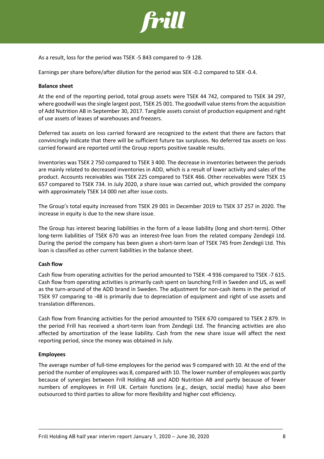

As a result, loss for the period was TSEK -5 843 compared to -9 128.

Earnings per share before/after dilution for the period was SEK -0.2 compared to SEK -0.4.

### **Balance sheet**

At the end of the reporting period, total group assets were TSEK 44 742, compared to TSEK 34 297, where goodwill wasthe single largest post, TSEK 25 001. The goodwill value stems from the acquisition of Add Nutrition AB in September 30, 2017. Tangible assets consist of production equipment and right of use assets of leases of warehouses and freezers.

Deferred tax assets on loss carried forward are recognized to the extent that there are factors that convincingly indicate that there will be sufficient future tax surpluses. No deferred tax assets on loss carried forward are reported until the Group reports positive taxable results.

Inventories was TSEK 2 750 compared to TSEK 3 400. The decrease in inventories between the periods are mainly related to decreased inventories in ADD, which is a result of lower activity and sales of the product. Accounts receivables was TSEK 225 compared to TSEK 466. Other receivables were TSEK 15 657 compared to TSEK 734. In July 2020, a share issue was carried out, which provided the company with approximately TSEK 14 000 net after issue costs.

The Group's total equity increased from TSEK 29 001 in December 2019 to TSEK 37 257 in 2020. The increase in equity is due to the new share issue.

The Group has interest bearing liabilities in the form of a lease liability (long and short-term). Other long-term liabilities of TSEK 670 was an interest-free loan from the related company Zendegii Ltd. During the period the company has been given a short-term loan of TSEK 745 from Zendegii Ltd. This loan is classified as other current liabilities in the balance sheet.

### **Cash flow**

Cash flow from operating activities for the period amounted to TSEK -4 936 compared to TSEK -7 615. Cash flow from operating activities is primarily cash spent on launching Frill in Sweden and US, as well as the turn-around of the ADD brand in Sweden. The adjustment for non-cash items in the period of TSEK 97 comparing to -48 is primarily due to depreciation of equipment and right of use assets and translation differences.

Cash flow from financing activities for the period amounted to TSEK 670 compared to TSEK 2 879. In the period Frill has received a short-term loan from Zendegii Ltd. The financing activities are also affected by amortization of the lease liability. Cash from the new share issue will affect the next reporting period, since the money was obtained in July.

### **Employees**

The average number of full-time employees for the period was 9 compared with 10. At the end of the period the number of employees was 8, compared with 10. The lower number of employees was partly because of synergies between Frill Holding AB and ADD Nutrition AB and partly because of fewer numbers of employees in Frill UK. Certain functions (e.g., design, social media) have also been outsourced to third parties to allow for more flexibility and higher cost efficiency.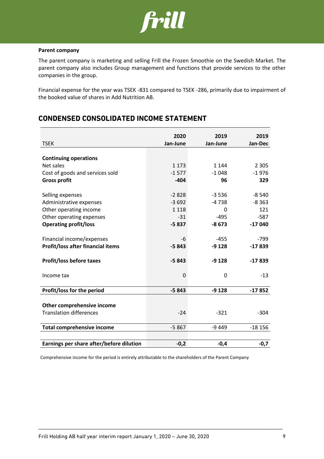

### **Parent company**

The parent company is marketing and selling Frill the Frozen Smoothie on the Swedish Market. The parent company also includes Group management and functions that provide services to the other companies in the group.

Financial expense for the year was TSEK -831 compared to TSEK -286, primarily due to impairment of the booked value of shares in Add Nutrition AB.

## **CONDENSED CONSOLIDATED INCOME STATEMENT**

|                                          | 2020        | 2019     | 2019     |
|------------------------------------------|-------------|----------|----------|
| <b>TSEK</b>                              | Jan-June    | Jan-June | Jan-Dec  |
|                                          |             |          |          |
| <b>Continuing operations</b>             |             |          |          |
| Net sales                                | 1 1 7 3     | 1 1 4 4  | 2 3 0 5  |
| Cost of goods and services sold          | $-1577$     | $-1048$  | $-1976$  |
| <b>Gross profit</b>                      | $-404$      | 96       | 329      |
|                                          |             |          |          |
| Selling expenses                         | $-2828$     | $-3536$  | $-8540$  |
| Administrative expenses                  | $-3692$     | $-4738$  | $-8363$  |
| Other operating income                   | 1 1 1 8     | 0        | 121      |
| Other operating expenses                 | $-31$       | $-495$   | $-587$   |
| <b>Operating profit/loss</b>             | $-5837$     | $-8673$  | $-17040$ |
|                                          |             |          |          |
| Financial income/expenses                | -6          | $-455$   | $-799$   |
| Profit/loss after financial items        | $-5843$     | $-9128$  | $-17839$ |
|                                          |             |          |          |
| <b>Profit/loss before taxes</b>          | $-5843$     | $-9128$  | $-17839$ |
|                                          |             |          |          |
| Income tax                               | $\mathbf 0$ | 0        | $-13$    |
|                                          |             |          |          |
| Profit/loss for the period               | $-5843$     | $-9128$  | $-17852$ |
|                                          |             |          |          |
| Other comprehensive income               |             |          |          |
| <b>Translation differences</b>           | $-24$       | $-321$   | $-304$   |
|                                          |             |          |          |
| <b>Total comprehensive income</b>        | $-5867$     | $-9449$  | $-18156$ |
|                                          |             |          |          |
| Earnings per share after/before dilution | $-0,2$      | $-0,4$   | $-0,7$   |

Comprehensive income for the period is entirely attributable to the shareholders of the Parent Company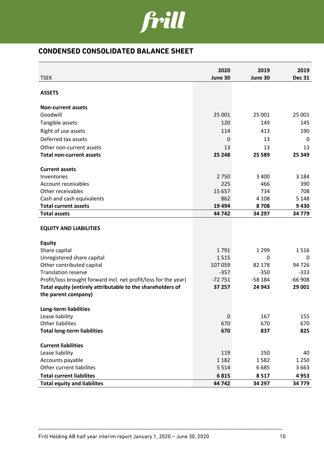

## **CONDENSED CONSOLIDATED BALANCE SHEET**

| <b>TSEK</b>                                                                       | 2020<br>June 30 | 2019<br>June 30 | 2019<br><b>Dec 31</b> |
|-----------------------------------------------------------------------------------|-----------------|-----------------|-----------------------|
|                                                                                   |                 |                 |                       |
| <b>ASSETS</b>                                                                     |                 |                 |                       |
| <b>Non-current assets</b>                                                         |                 |                 |                       |
| Goodwill                                                                          | 25 001          | 25 001          | 25 001                |
| Tangible assets                                                                   | 120             | 149             | 145                   |
| Right of use assets                                                               | 114             | 413             | 190                   |
| Deferred tax assets                                                               | 0               | 13              | 0                     |
| Other non-current assets                                                          | 13              | 13              | 13                    |
| <b>Total non-current assets</b>                                                   | 25 248          | 25 589          | 25 349                |
|                                                                                   |                 |                 |                       |
| <b>Current assets</b>                                                             | 2750            | 3 4 0 0         |                       |
| Inventories<br>Account receivables                                                | 225             | 466             | 3 1 8 4<br>390        |
| Other receivables                                                                 | 15 657          | 734             | 708                   |
| Cash and cash equivalents                                                         | 862             | 4 1 0 8         | 5 1 4 8               |
| <b>Total current assets</b>                                                       | 19 4 94         | 8708            | 9430                  |
| <b>Total assets</b>                                                               | 44 742          | 34 297          | 34 779                |
|                                                                                   |                 |                 |                       |
| <b>EQUITY AND LIABILITIES</b>                                                     |                 |                 |                       |
| <b>Equity</b>                                                                     |                 |                 |                       |
| Share capital                                                                     | 1791            | 1 2 9 9         | 1516                  |
| Unregistered share capital                                                        | 1515            | 0               | 0                     |
| Other contributed capital                                                         | 107 059         | 82 178          | 94 726                |
| <b>Translation reserve</b>                                                        | $-357$          | $-350$          | $-333$                |
| Profit/loss brought forward incl. net profit/loss for the year)                   | $-72751$        | $-58184$        | $-66908$              |
| Total equity (entirely attributable to the shareholders of<br>the parent company) | 37 257          | 24 943          | 29 001                |
|                                                                                   |                 |                 |                       |
| Long-term liabilities                                                             |                 |                 |                       |
| Lease liability                                                                   | 0               | 167             | 155                   |
| <b>Other liabilites</b>                                                           | 670             | 670             | 670                   |
| <b>Total long-term liabilities</b>                                                | 670             | 837             | 825                   |
| <b>Current liabilities</b>                                                        |                 |                 |                       |
| Lease liability                                                                   | 119             | 250             | 40                    |
| Accounts payable                                                                  | 1 1 8 2         | 1582            | 1 2 5 0               |
| Other current liabilites                                                          | 5 5 1 4         | 6685            | 3 6 6 3               |
| <b>Total current liabilites</b>                                                   | 6815            | 8517            | 4953                  |
| <b>Total equity and liabilites</b>                                                | 44 742          | 34 297          | 34 779                |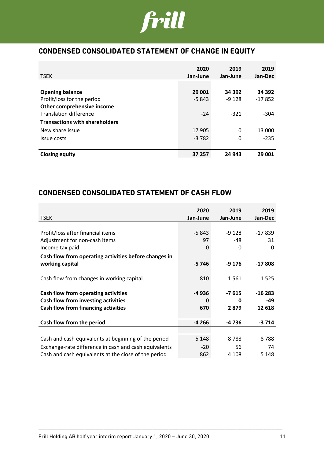

## **CONDENSED CONSOLIDATED STATEMENT OF CHANGE IN EQUITY**

|                                       | 2020     | 2019        | 2019     |
|---------------------------------------|----------|-------------|----------|
| <b>TSEK</b>                           | Jan-June | Jan-June    | Jan-Dec  |
|                                       |          |             |          |
| <b>Opening balance</b>                | 29 001   | 34 392      | 34 392   |
| Profit/loss for the period            | $-5843$  | $-9128$     | $-17852$ |
| Other comprehensive income            |          |             |          |
| <b>Translation difference</b>         | $-24$    | $-321$      | $-304$   |
| <b>Transactions with shareholders</b> |          |             |          |
| New share issue                       | 17 905   | $\mathbf 0$ | 13 000   |
| Issue costs                           | $-3782$  | 0           | $-235$   |
|                                       |          |             |          |
| <b>Closing equity</b>                 | 37 257   | 24 943      | 29 001   |

## **CONDENSED CONSOLIDATED STATEMENT OF CASH FLOW**

| <b>TSEK</b>                                           | 2020<br>Jan-June | 2019<br>Jan-June | 2019<br>Jan-Dec |
|-------------------------------------------------------|------------------|------------------|-----------------|
|                                                       |                  |                  |                 |
| Profit/loss after financial items                     | $-5843$          | $-9128$          | $-17839$        |
| Adjustment for non-cash items                         | 97               | -48              | 31              |
| Income tax paid                                       | 0                | 0                | $\Omega$        |
| Cash flow from operating activities before changes in |                  |                  |                 |
| working capital                                       | -5746            | -9 176           | $-17808$        |
|                                                       |                  |                  |                 |
| Cash flow from changes in working capital             | 810              | 1561             | 1525            |
| Cash flow from operating activities                   | -4936            | $-7615$          | $-16283$        |
| Cash flow from investing activities                   | 0                | 0                | -49             |
| Cash flow from financing activities                   | 670              | 2879             | 12 618          |
|                                                       |                  |                  |                 |
| Cash flow from the period                             | $-4266$          | -4 736           | $-3714$         |
|                                                       |                  |                  |                 |
| Cash and cash equivalents at beginning of the period  | 5 1 4 8          | 8788             | 8788            |
| Exchange-rate difference in cash and cash equivalents | $-20$            | 56               | 74              |
| Cash and cash equivalents at the close of the period  | 862              | 4 108            | 5 1 4 8         |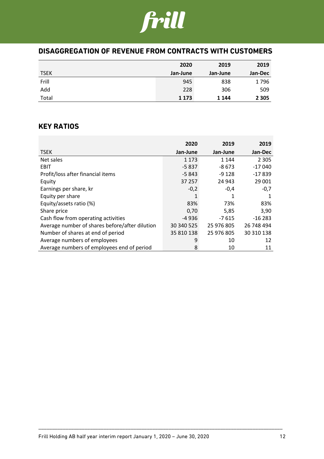# frill

## **DISAGGREGATION OF REVENUE FROM CONTRACTS WITH CUSTOMERS**

|             | 2020     | 2019     | 2019    |
|-------------|----------|----------|---------|
| <b>TSEK</b> | Jan-June | Jan-June | Jan-Dec |
| Frill       | 945      | 838      | 1796    |
| Add         | 228      | 306      | 509     |
| Total       | 1 1 7 3  | 1 1 4 4  | 2 3 0 5 |

## **KEY RATIOS**

|                                                | 2020       | 2019       | 2019       |
|------------------------------------------------|------------|------------|------------|
| <b>TSEK</b>                                    | Jan-June   | Jan-June   | Jan-Dec    |
| Net sales                                      | 1 1 7 3    | 1 1 4 4    | 2 3 0 5    |
| <b>EBIT</b>                                    | $-5837$    | $-8673$    | $-17040$   |
| Profit/loss after financial items              | $-5843$    | $-9128$    | $-17839$   |
| Equity                                         | 37 257     | 24 943     | 29 001     |
| Earnings per share, kr                         | $-0,2$     | $-0,4$     | $-0,7$     |
| Equity per share                               | 1          | 1          | 1          |
| Equity/assets ratio (%)                        | 83%        | 73%        | 83%        |
| Share price                                    | 0,70       | 5,85       | 3,90       |
| Cash flow from operating activities            | $-4936$    | $-7615$    | $-16283$   |
| Average number of shares before/after dilution | 30 340 525 | 25 976 805 | 26 748 494 |
| Number of shares at end of period              | 35 810 138 | 25 976 805 | 30 310 138 |
| Average numbers of employees                   | 9          | 10         | 12         |
| Average numbers of employees end of period     | 8          | 10         | 11         |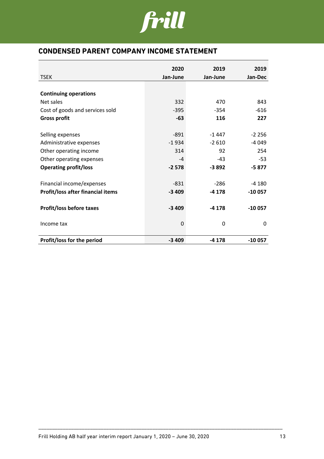

## **CONDENSED PARENT COMPANY INCOME STATEMENT**

| <b>TSEK</b>                       | 2020<br>Jan-June | 2019     | 2019     |
|-----------------------------------|------------------|----------|----------|
|                                   |                  | Jan-June | Jan-Dec  |
| <b>Continuing operations</b>      |                  |          |          |
| Net sales                         | 332              | 470      | 843      |
| Cost of goods and services sold   | $-395$           | $-354$   | $-616$   |
| <b>Gross profit</b>               | $-63$            | 116      | 227      |
|                                   |                  |          |          |
| Selling expenses                  | $-891$           | $-1447$  | $-2256$  |
| Administrative expenses           | $-1934$          | $-2610$  | $-4049$  |
| Other operating income            | 314              | 92       | 254      |
| Other operating expenses          | -4               | $-43$    | $-53$    |
| <b>Operating profit/loss</b>      | $-2578$          | $-3892$  | $-5877$  |
| Financial income/expenses         | $-831$           | $-286$   | $-4180$  |
| Profit/loss after financial items | $-3409$          | $-4178$  | $-10057$ |
|                                   |                  |          |          |
| <b>Profit/loss before taxes</b>   | $-3409$          | $-4178$  | $-10057$ |
| Income tax                        | 0                | 0        | 0        |
| Profit/loss for the period        | $-3409$          | $-4178$  | $-10057$ |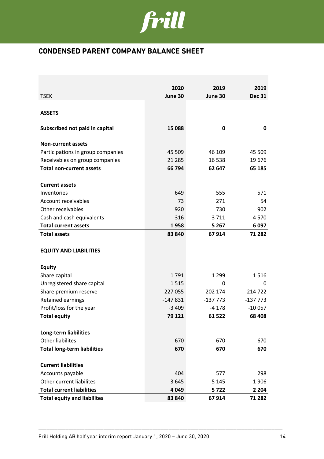

## **CONDENSED PARENT COMPANY BALANCE SHEET**

|                                              | 2020        | 2019            | 2019            |
|----------------------------------------------|-------------|-----------------|-----------------|
| <b>TSEK</b>                                  | June 30     | June 30         | <b>Dec 31</b>   |
|                                              |             |                 |                 |
| <b>ASSETS</b>                                |             |                 |                 |
|                                              |             |                 |                 |
| Subscribed not paid in capital               | 15 088      | 0               | 0               |
|                                              |             |                 |                 |
| <b>Non-current assets</b>                    |             |                 |                 |
| Participations in group companies            | 45 509      | 46 109          | 45 509          |
| Receivables on group companies               | 21 285      | 16 5 38         | 19676           |
| <b>Total non-current assets</b>              | 66 794      | 62 647          | 65 185          |
| <b>Current assets</b>                        |             |                 |                 |
| Inventories                                  | 649         | 555             | 571             |
| Account receivables                          | 73          | 271             | 54              |
| Other receivables                            | 920         | 730             | 902             |
| Cash and cash equivalents                    | 316         | 3711            | 4570            |
| <b>Total current assets</b>                  | 1958        | 5 2 6 7         | 6097            |
| <b>Total assets</b>                          | 83 840      | 67914           | 71 282          |
| <b>EQUITY AND LIABILITIES</b>                |             |                 |                 |
| <b>Equity</b>                                |             |                 |                 |
| Share capital                                | 1791        | 1 2 9 9         | 1516            |
| Unregistered share capital                   | 1515        | 0               | 0               |
| Share premium reserve                        | 227 055     | 202 174         | 214 722         |
| Retained earnings                            | $-147831$   | $-137773$       | $-137773$       |
| Profit/loss for the year                     | $-3409$     | -4 178          | $-10057$        |
| <b>Total equity</b>                          | 79 121      | 61 522          | 68 408          |
|                                              |             |                 |                 |
| <b>Long-term liabilities</b>                 |             |                 |                 |
| <b>Other liabilites</b>                      | 670         | 670             | 670             |
| <b>Total long-term liabilities</b>           | 670         | 670             | 670             |
|                                              |             |                 |                 |
| <b>Current liabilities</b>                   |             | 577             |                 |
| Accounts payable<br>Other current liabilites | 404<br>3645 |                 | 298             |
| <b>Total current liabilities</b>             | 4 0 4 9     | 5 1 4 5<br>5722 | 1906<br>2 2 0 4 |
| <b>Total equity and liabilites</b>           | 83 840      | 67914           | 71 282          |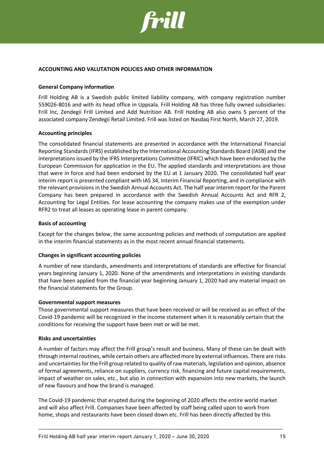

### **ACCOUNTING AND VALUTATION POLICIES AND OTHER INFORMATION**

### **General Company information**

Frill Holding AB is a Swedish public limited liability company, with company registration number 559026-8016 and with its head office in Uppsala. Frill Holding AB has three fully owned subsidiaries: Frill Inc, Zendegii Frill Limited and Add Nutrition AB. Frill Holding AB also owns 5 percent of the associated company Zendegii Retail Limited. Frill was listed on Nasdaq First North, March 27, 2019.

### **Accounting principles**

The consolidated financial statements are presented in accordance with the International Financial Reporting Standards (IFRS) established by the International Accounting Standards Board (IASB) and the interpretations issued by the IFRS Interpretations Committee (IFRIC) which have been endorsed by the European Commission for application in the EU. The applied standards and interpretations are those that were in force and had been endorsed by the EU at 1 January 2020. The consolidated half year interim report is presented compliant with IAS 34, Interim Financial Reporting, and in compliance with the relevant provisions in the Swedish Annual Accounts Act. The half year interim report for the Parent Company has been prepared in accordance with the Swedish Annual Accounts Act and RFR 2, Accounting for Legal Entities. For lease accounting the company makes use of the exemption under RFR2 to treat all leases as operating lease in parent company.

### **Basis of accounting**

Except for the changes below, the same accounting policies and methods of computation are applied in the interim financial statements as in the most recent annual financial statements.

### **Changes in significant accounting policies**

A number of new standards, amendments and interpretations of standards are effective for financial years beginning January 1, 2020. None of the amendments and interpretations in existing standards that have been applied from the financial year beginning January 1, 2020 had any material impact on the financial statements for the Group.

### **Governmental support measures**

Those governmental support measures that have been received or will be received as an effect of the Covid-19 pandemic will be recognized in the income statement when it is reasonably certain that the conditions for receiving the support have been met or will be met.

### **Risks and uncertainties**

A number of factors may affect the Frill group's result and business. Many of these can be dealt with through internal routines, while certain others are affected more by external influences. There are risks and uncertainties for the Frill group related to quality of raw materials, legislation and opinion, absence of formal agreements, reliance on suppliers, currency risk, financing and future capital requirements, impact of weather on sales, etc., but also in connection with expansion into new markets, the launch of new flavours and how the brand is managed.

The Covid-19 pandemic that erupted during the beginning of 2020 affects the entire world market and will also affect Frill. Companies have been affected by staff being called upon to work from home, shops and restaurants have been closed down etc. Frill has been directly affected by this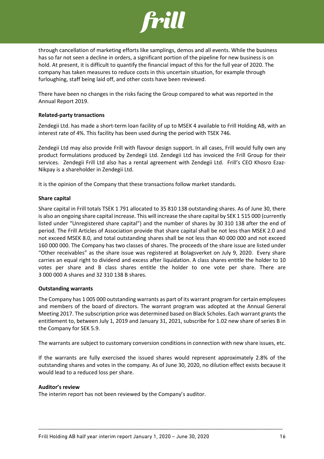

through cancellation of marketing efforts like samplings, demos and all events. While the business has so far not seen a decline in orders, a significant portion of the pipeline for new business is on hold. At present, it is difficult to quantify the financial impact of this for the full year of 2020. The company has taken measures to reduce costs in this uncertain situation, for example through furloughing, staff being laid off, and other costs have been reviewed.

There have been no changes in the risks facing the Group compared to what was reported in the Annual Report 2019.

### **Related-party transactions**

Zendegii Ltd. has made a short-term loan facility of up to MSEK 4 available to Frill Holding AB, with an interest rate of 4%. This facility has been used during the period with TSEK 746.

Zendegii Ltd may also provide Frill with flavour design support. In all cases, Frill would fully own any product formulations produced by Zendegii Ltd. Zendegii Ltd has invoiced the Frill Group for their services. Zendegii Frill Ltd also has a rental agreement with Zendegii Ltd. Frill's CEO Khosro Ezaz-Nikpay is a shareholder in Zendegii Ltd.

It is the opinion of the Company that these transactions follow market standards.

### **Share capital**

Share capital in Frill totals TSEK 1 791 allocated to 35 810 138 outstanding shares. As of June 30, there is also an ongoing share capital increase. This will increase the share capital by SEK 1 515 000 (currently listed under "Unregistered share capital") and the number of shares by 30 310 138 after the end of period. The Frill Articles of Association provide that share capital shall be not less than MSEK 2.0 and not exceed MSEK 8.0, and total outstanding shares shall be not less than 40 000 000 and not exceed 160 000 000. The Company has two classes of shares. The proceeds of the share issue are listed under "Other receivables" as the share issue was registered at Bolagsverket on July 9, 2020. Every share carries an equal right to dividend and excess after liquidation. A class shares entitle the holder to 10 votes per share and B class shares entitle the holder to one vote per share. There are 3 000 000 A shares and 32 310 138 B shares.

### **Outstanding warrants**

The Company has 1 005 000 outstanding warrants as part of its warrant program for certain employees and members of the board of directors. The warrant program was adopted at the Annual General Meeting 2017. The subscription price was determined based on Black Scholes. Each warrant grants the entitlement to, between July 1, 2019 and January 31, 2021, subscribe for 1.02 new share of series B in the Company for SEK 5.9.

The warrants are subject to customary conversion conditions in connection with new share issues, etc.

If the warrants are fully exercised the issued shares would represent approximately 2.8% of the outstanding shares and votes in the company. As of June 30, 2020, no dilution effect exists because it would lead to a reduced loss per share.

\_\_\_\_\_\_\_\_\_\_\_\_\_\_\_\_\_\_\_\_\_\_\_\_\_\_\_\_\_\_\_\_\_\_\_\_\_\_\_\_\_\_\_\_\_\_\_\_\_\_\_\_\_\_\_\_\_\_\_\_\_\_\_\_\_\_\_\_\_\_\_\_\_\_\_\_\_\_\_\_\_\_\_\_\_\_\_\_\_\_

### **Auditor's review**

The interim report has not been reviewed by the Company's auditor.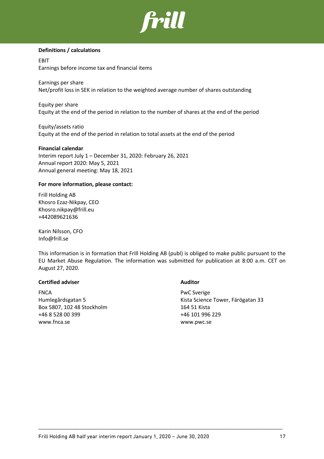

### **Definitions / calculations**

EBIT Earnings before income tax and financial items

Earnings per share Net/profit loss in SEK in relation to the weighted average number of shares outstanding

Equity per share Equity at the end of the period in relation to the number of shares at the end of the period

Equity/assets ratio Equity at the end of the period in relation to total assets at the end of the period

### **Financial calendar**

Interim report July 1 – December 31, 2020: February 26, 2021 Annual report 2020: May 5, 2021 Annual general meeting: May 18, 2021

### **For more information, please contact:**

Frill Holding AB Khosro Ezaz-Nikpay, CEO Khosro.nikpay@frill.eu +442089621636

Karin Nilsson, CFO Info@frill.se

This information is in formation that Frill Holding AB (publ) is obliged to make public pursuant to the EU Market Abuse Regulation. The information was submitted for publication at 8:00 a.m. CET on August 27, 2020.

\_\_\_\_\_\_\_\_\_\_\_\_\_\_\_\_\_\_\_\_\_\_\_\_\_\_\_\_\_\_\_\_\_\_\_\_\_\_\_\_\_\_\_\_\_\_\_\_\_\_\_\_\_\_\_\_\_\_\_\_\_\_\_\_\_\_\_\_\_\_\_\_\_\_\_\_\_\_\_\_\_\_\_\_\_\_\_\_\_\_

### **Certified adviser Auditor**

FNCA PwC Sverige Box 5807, 102 48 Stockholm 164 51 Kista +46 8 528 00 399 +46 101 996 229 www.fnca.se www.pwc.se

Humlegårdsgatan 5 Kista Science Tower, Färögatan 33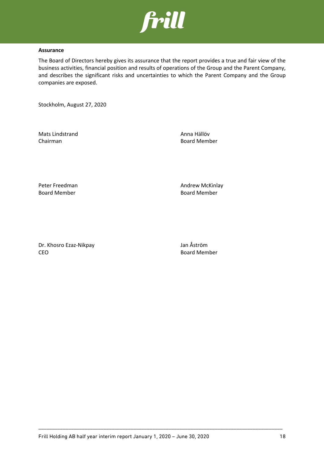

### **Assurance**

The Board of Directors hereby gives its assurance that the report provides a true and fair view of the business activities, financial position and results of operations of the Group and the Parent Company, and describes the significant risks and uncertainties to which the Parent Company and the Group companies are exposed.

Stockholm, August 27, 2020

Mats Lindstrand **Anna Hällöv** Chairman Board Member

Board Member Board Member

Peter Freedman **Andrew McKinlay** 

Dr. Khosro Ezaz-Nikpay Jan Åström CEO Board Member